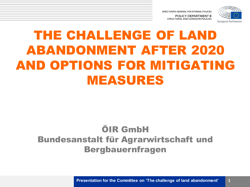

# THE CHALLENGE OF LAND ABANDONMENT AFTER 2020 AND OPTIONS FOR MITIGATING MEASURES

#### ÖIR GmbH Bundesanstalt für Agrarwirtschaft und Bergbauernfragen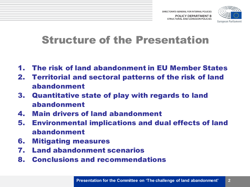

#### Structure of the Presentation

- 1. The risk of land abandonment in EU Member States
- 2. Territorial and sectoral patterns of the risk of land abandonment
- 3. Quantitative state of play with regards to land abandonment
- 4. Main drivers of land abandonment
- 5. Environmental implications and dual effects of land abandonment
- 6. Mitigating measures
- 7. Land abandonment scenarios
- 8. Conclusions and recommendations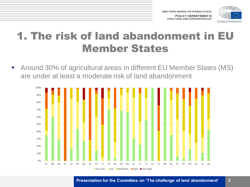

### 1. The risk of land abandonment in EU Member States

■ Around 30% of agricultural areas in different EU Member States (MS) are under at least a moderate risk of land abandonment

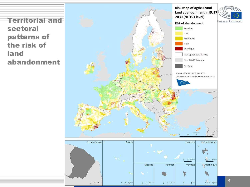Territorial and sectoral patterns of the risk of land abandonment



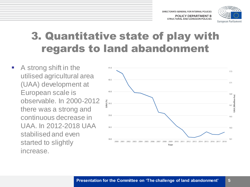

### 3. Quantitative state of play with regards to land abandonment

**A** strong shift in the utilised agricultural area (UAA) development at European scale is observable. In 2000-2012 there was a strong and continuous decrease in UAA. In 2012-2018 UAA stabilised and even started to slightly increase.

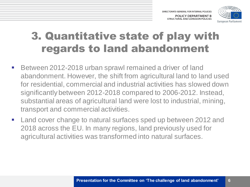

### 3. Quantitative state of play with regards to land abandonment

- Between 2012-2018 urban sprawl remained a driver of land abandonment. However, the shift from agricultural land to land used for residential, commercial and industrial activities has slowed down significantly between 2012-2018 compared to 2006-2012. Instead, substantial areas of agricultural land were lost to industrial, mining, transport and commercial activities.
- **Land cover change to natural surfaces sped up between 2012 and** 2018 across the EU. In many regions, land previously used for agricultural activities was transformed into natural surfaces.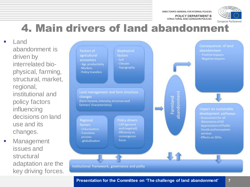DIRECTORATE-GENERAL FOR INTERNAL POLICIES

**POLICY DEPARTMENT B STRUCTURAL AND COHESION POLICIES** 



#### 4. Main drivers of land abandonment

**Land** abandonment is driven by interrelated biophysical, farming, structural, market, regional, institutional and policy factors influencing decisions on land use and its changes.

**Nanagement** issues and structural adaptation are the key driving forces.

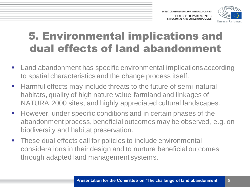

# 5. Environmental implications and dual effects of land abandonment

- **EXECT And abandonment has specific environmental implications according** to spatial characteristics and the change process itself.
- Harmful effects may include threats to the future of semi-natural habitats, quality of high nature value farmland and linkages of NATURA 2000 sites, and highly appreciated cultural landscapes.
- **However, under specific conditions and in certain phases of the** abandonment process, beneficial outcomes may be observed, e.g. on biodiversity and habitat preservation.
- **These dual effects call for policies to include environmental** considerations in their design and to nurture beneficial outcomes through adapted land management systems.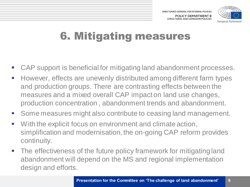

# 6. Mitigating measures

- CAP support is beneficial for mitigating land abandonment processes.
- **However, effects are unevenly distributed among different farm types** and production groups. There are contrasting effects between the measures and a mixed overall CAP impact on land use changes, production concentration , abandonment trends and abandonment.
- Some measures might also contribute to ceasing land management.
- **With the explicit focus on environment and climate action,** simplification and modernisation, the on-going CAP reform provides continuity.
- The effectiveness of the future policy framework for mitigating land abandonment will depend on the MS and regional implementation design and efforts.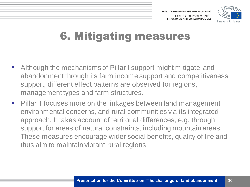

# 6. Mitigating measures

- Although the mechanisms of Pillar I support might mitigate land abandonment through its farm income support and competitiveness support, different effect patterns are observed for regions, management types and farm structures.
- Pillar II focuses more on the linkages between land management, environmental concerns, and rural communities via its integrated approach. It takes account of territorial differences, e.g. through support for areas of natural constraints, including mountain areas. These measures encourage wider social benefits, quality of life and thus aim to maintain vibrant rural regions.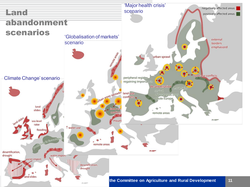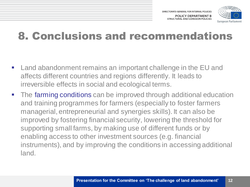

#### 8. Conclusions and recommendations

- Land abandonment remains an important challenge in the EU and affects different countries and regions differently. It leads to irreversible effects in social and ecological terms.
- The farming conditions can be improved through additional education and training programmes for farmers (especially to foster farmers managerial, entrepreneurial and synergies skills). It can also be improved by fostering financial security, lowering the threshold for supporting small farms, by making use of different funds or by enabling access to other investment sources (e.g. financial instruments), and by improving the conditions in accessing additional land.